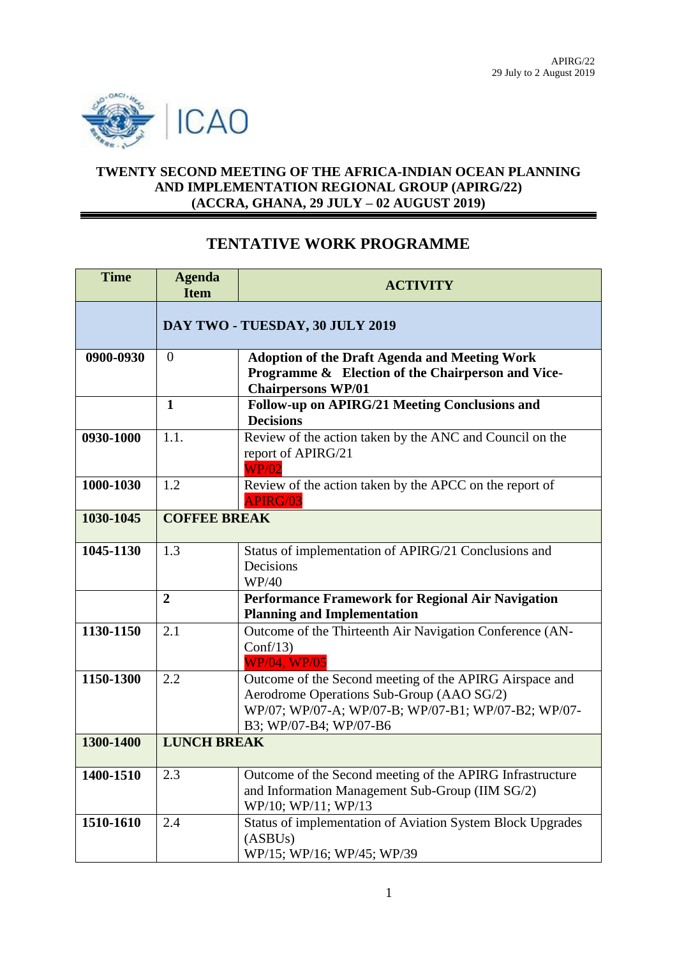

## **TWENTY SECOND MEETING OF THE AFRICA-INDIAN OCEAN PLANNING AND IMPLEMENTATION REGIONAL GROUP (APIRG/22) (ACCRA, GHANA, 29 JULY – 02 AUGUST 2019)**

## **TENTATIVE WORK PROGRAMME**

| <b>Time</b> | <b>Agenda</b><br><b>Item</b>    | <b>ACTIVITY</b>                                                                                                                                                                       |
|-------------|---------------------------------|---------------------------------------------------------------------------------------------------------------------------------------------------------------------------------------|
|             | DAY TWO - TUESDAY, 30 JULY 2019 |                                                                                                                                                                                       |
| 0900-0930   | $\theta$                        | <b>Adoption of the Draft Agenda and Meeting Work</b><br>Programme & Election of the Chairperson and Vice-<br><b>Chairpersons WP/01</b>                                                |
|             | $\mathbf{1}$                    | Follow-up on APIRG/21 Meeting Conclusions and<br><b>Decisions</b>                                                                                                                     |
| 0930-1000   | 1.1.                            | Review of the action taken by the ANC and Council on the<br>report of APIRG/21<br><b>WP/02</b>                                                                                        |
| 1000-1030   | 1.2                             | Review of the action taken by the APCC on the report of<br><b>APIRG/03</b>                                                                                                            |
| 1030-1045   | <b>COFFEE BREAK</b>             |                                                                                                                                                                                       |
| 1045-1130   | 1.3                             | Status of implementation of APIRG/21 Conclusions and<br>Decisions<br>WP/40                                                                                                            |
|             | $\overline{2}$                  | Performance Framework for Regional Air Navigation<br><b>Planning and Implementation</b>                                                                                               |
| 1130-1150   | 2.1                             | Outcome of the Thirteenth Air Navigation Conference (AN-<br>Conf/13<br><b>WP/04, WP/05</b>                                                                                            |
| 1150-1300   | 2.2                             | Outcome of the Second meeting of the APIRG Airspace and<br>Aerodrome Operations Sub-Group (AAO SG/2)<br>WP/07; WP/07-A; WP/07-B; WP/07-B1; WP/07-B2; WP/07-<br>B3; WP/07-B4; WP/07-B6 |
| 1300-1400   | <b>LUNCH BREAK</b>              |                                                                                                                                                                                       |
| 1400-1510   | 2.3                             | Outcome of the Second meeting of the APIRG Infrastructure<br>and Information Management Sub-Group (IIM SG/2)<br>WP/10; WP/11; WP/13                                                   |
| 1510-1610   | 2.4                             | Status of implementation of Aviation System Block Upgrades<br>(ASBUs)<br>WP/15; WP/16; WP/45; WP/39                                                                                   |